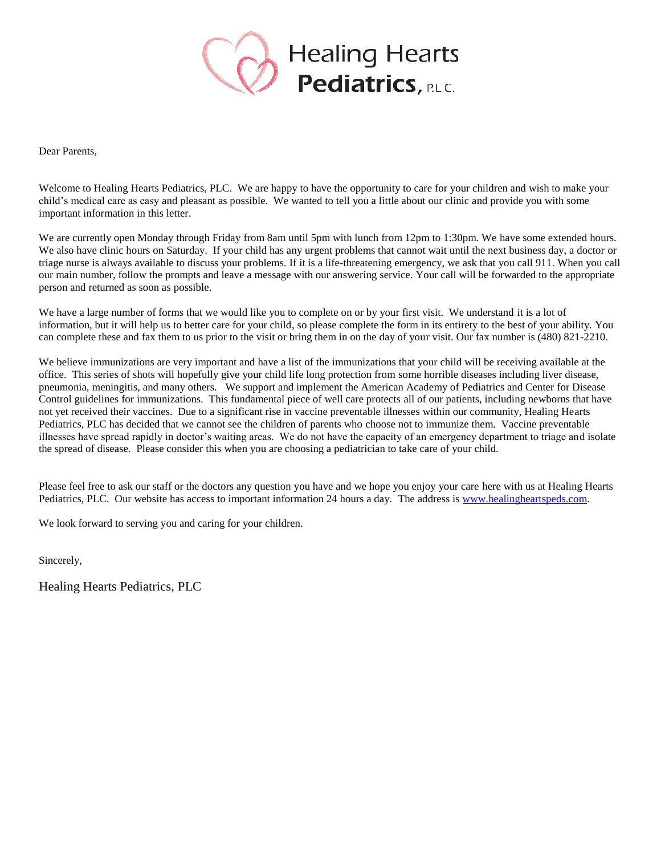

Dear Parents,

Welcome to Healing Hearts Pediatrics, PLC. We are happy to have the opportunity to care for your children and wish to make your child's medical care as easy and pleasant as possible. We wanted to tell you a little about our clinic and provide you with some important information in this letter.

We are currently open Monday through Friday from 8am until 5pm with lunch from 12pm to 1:30pm. We have some extended hours. We also have clinic hours on Saturday. If your child has any urgent problems that cannot wait until the next business day, a doctor or triage nurse is always available to discuss your problems. If it is a life-threatening emergency, we ask that you call 911. When you call our main number, follow the prompts and leave a message with our answering service. Your call will be forwarded to the appropriate person and returned as soon as possible.

We have a large number of forms that we would like you to complete on or by your first visit. We understand it is a lot of information, but it will help us to better care for your child, so please complete the form in its entirety to the best of your ability. You can complete these and fax them to us prior to the visit or bring them in on the day of your visit. Our fax number is (480) 821-2210.

We believe immunizations are very important and have a list of the immunizations that your child will be receiving available at the office. This series of shots will hopefully give your child life long protection from some horrible diseases including liver disease, pneumonia, meningitis, and many others. We support and implement the American Academy of Pediatrics and Center for Disease Control guidelines for immunizations. This fundamental piece of well care protects all of our patients, including newborns that have not yet received their vaccines. Due to a significant rise in vaccine preventable illnesses within our community, Healing Hearts Pediatrics, PLC has decided that we cannot see the children of parents who choose not to immunize them. Vaccine preventable illnesses have spread rapidly in doctor's waiting areas. We do not have the capacity of an emergency department to triage and isolate the spread of disease. Please consider this when you are choosing a pediatrician to take care of your child.

Please feel free to ask our staff or the doctors any question you have and we hope you enjoy your care here with us at Healing Hearts Pediatrics, PLC. Our website has access to important information 24 hours a day. The address is [www.healingheartspeds.com.](http://www.healingheartspeds.com/)

We look forward to serving you and caring for your children.

Sincerely,

Healing Hearts Pediatrics, PLC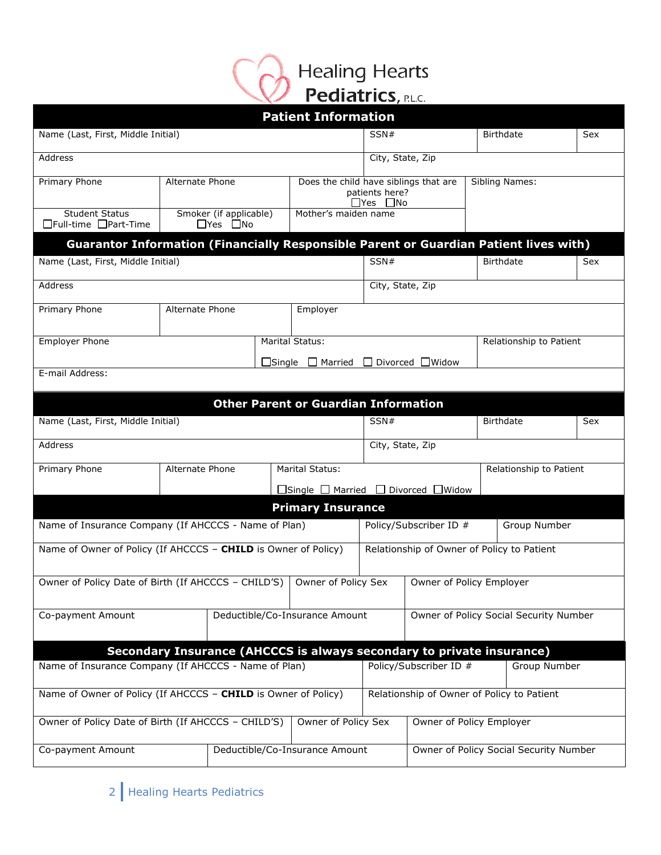

|                                                                                       |                 |                                                |  | <b>Patient Information</b>                                            |                                                                                    |                                            |                         |     |
|---------------------------------------------------------------------------------------|-----------------|------------------------------------------------|--|-----------------------------------------------------------------------|------------------------------------------------------------------------------------|--------------------------------------------|-------------------------|-----|
| Name (Last, First, Middle Initial)                                                    |                 |                                                |  |                                                                       | SSN#                                                                               |                                            | <b>Birthdate</b>        | Sex |
| Address                                                                               |                 |                                                |  |                                                                       |                                                                                    | City, State, Zip                           |                         |     |
| Primary Phone                                                                         |                 | Alternate Phone                                |  |                                                                       | Does the child have siblings that are<br>patients here?<br>$\exists$ Yes $\Box$ No |                                            | Sibling Names:          |     |
| <b>Student Status</b><br>□Full-time □Part-Time                                        |                 | Smoker (if applicable)<br>$\Box$ Yes $\Box$ No |  | Mother's maiden name                                                  |                                                                                    |                                            |                         |     |
| Guarantor Information (Financially Responsible Parent or Guardian Patient lives with) |                 |                                                |  |                                                                       |                                                                                    |                                            |                         |     |
| Name (Last, First, Middle Initial)                                                    |                 |                                                |  |                                                                       | SSN#                                                                               |                                            | <b>Birthdate</b>        | Sex |
| Address                                                                               |                 |                                                |  |                                                                       |                                                                                    | City, State, Zip                           |                         |     |
| Primary Phone                                                                         | Alternate Phone |                                                |  | Employer                                                              |                                                                                    |                                            |                         |     |
| <b>Employer Phone</b>                                                                 |                 |                                                |  | Marital Status:                                                       |                                                                                    |                                            | Relationship to Patient |     |
|                                                                                       |                 |                                                |  | $\Box$ Single $\Box$ Married $\Box$ Divorced $\Box$ Widow             |                                                                                    |                                            |                         |     |
| E-mail Address:                                                                       |                 |                                                |  |                                                                       |                                                                                    |                                            |                         |     |
|                                                                                       |                 |                                                |  | <b>Other Parent or Guardian Information</b>                           |                                                                                    |                                            |                         |     |
| Name (Last, First, Middle Initial)                                                    |                 |                                                |  |                                                                       | SSN#                                                                               |                                            | <b>Birthdate</b>        | Sex |
|                                                                                       |                 |                                                |  |                                                                       |                                                                                    |                                            |                         |     |
| Address                                                                               |                 |                                                |  |                                                                       |                                                                                    | City, State, Zip                           |                         |     |
| Primary Phone                                                                         | Alternate Phone |                                                |  | Marital Status:                                                       |                                                                                    |                                            | Relationship to Patient |     |
|                                                                                       |                 |                                                |  | $\Box$ Single $\Box$ Married $\Box$ Divorced $\Box$ Widow             |                                                                                    |                                            |                         |     |
|                                                                                       |                 |                                                |  | <b>Primary Insurance</b>                                              |                                                                                    |                                            |                         |     |
| Name of Insurance Company (If AHCCCS - Name of Plan)                                  |                 |                                                |  |                                                                       |                                                                                    | Policy/Subscriber ID #                     | Group Number            |     |
| Name of Owner of Policy (If AHCCCS - CHILD is Owner of Policy)                        |                 |                                                |  |                                                                       |                                                                                    | Relationship of Owner of Policy to Patient |                         |     |
| Owner of Policy Date of Birth (If AHCCCS - CHILD'S)                                   |                 |                                                |  | Owner of Policy Sex                                                   |                                                                                    | Owner of Policy Employer                   |                         |     |
| Co-payment Amount                                                                     |                 |                                                |  | Deductible/Co-Insurance Amount                                        |                                                                                    | Owner of Policy Social Security Number     |                         |     |
|                                                                                       |                 |                                                |  | Secondary Insurance (AHCCCS is always secondary to private insurance) |                                                                                    |                                            |                         |     |
| Name of Insurance Company (If AHCCCS - Name of Plan)                                  |                 |                                                |  |                                                                       |                                                                                    | Policy/Subscriber ID #                     | Group Number            |     |
| Name of Owner of Policy (If AHCCCS - CHILD is Owner of Policy)                        |                 |                                                |  |                                                                       |                                                                                    | Relationship of Owner of Policy to Patient |                         |     |
| Owner of Policy Date of Birth (If AHCCCS - CHILD'S)                                   |                 |                                                |  | Owner of Policy Sex                                                   |                                                                                    | Owner of Policy Employer                   |                         |     |
| Co-payment Amount                                                                     |                 |                                                |  | Deductible/Co-Insurance Amount                                        |                                                                                    | Owner of Policy Social Security Number     |                         |     |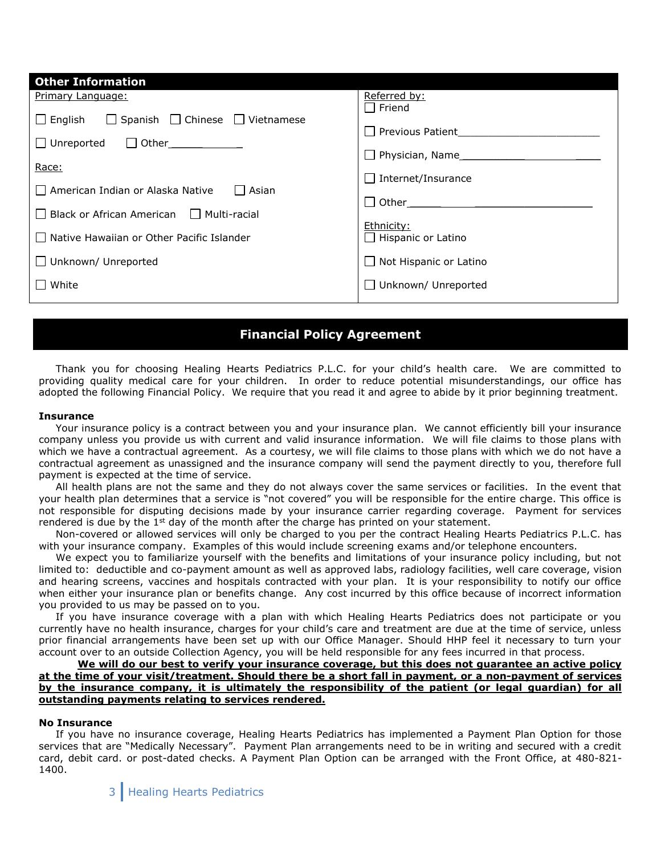| <b>Other Information</b>                                          |                                         |
|-------------------------------------------------------------------|-----------------------------------------|
| Primary Language:                                                 | Referred by:                            |
| $\Box$ Spanish $\Box$ Chinese $\Box$ Vietnamese<br>$\Box$ English | Friend<br><b>Previous Patient</b>       |
| $\Box$ Unreported<br>$\Box$ Other                                 | Physician, Name                         |
| Race:                                                             | $\Box$ Internet/Insurance               |
| l 1 American Indian or Alaska Native<br>l Asian                   | Other                                   |
| $\Box$ Black or African American $\Box$ Multi-racial              |                                         |
| Native Hawaiian or Other Pacific Islander                         | Ethnicity:<br>$\Box$ Hispanic or Latino |
| $\Box$ Unknown/ Unreported                                        | Not Hispanic or Latino                  |
| $\Box$ White                                                      | Unknown/ Unreported                     |

# **Financial Policy Agreement**

 Thank you for choosing Healing Hearts Pediatrics P.L.C. for your child's health care. We are committed to providing quality medical care for your children. In order to reduce potential misunderstandings, our office has adopted the following Financial Policy. We require that you read it and agree to abide by it prior beginning treatment.

## **Insurance**

 Your insurance policy is a contract between you and your insurance plan. We cannot efficiently bill your insurance company unless you provide us with current and valid insurance information. We will file claims to those plans with which we have a contractual agreement. As a courtesy, we will file claims to those plans with which we do not have a contractual agreement as unassigned and the insurance company will send the payment directly to you, therefore full payment is expected at the time of service.

 All health plans are not the same and they do not always cover the same services or facilities. In the event that your health plan determines that a service is "not covered" you will be responsible for the entire charge. This office is not responsible for disputing decisions made by your insurance carrier regarding coverage. Payment for services rendered is due by the  $1<sup>st</sup>$  day of the month after the charge has printed on your statement.

 Non-covered or allowed services will only be charged to you per the contract Healing Hearts Pediatrics P.L.C. has with your insurance company. Examples of this would include screening exams and/or telephone encounters.

 We expect you to familiarize yourself with the benefits and limitations of your insurance policy including, but not limited to: deductible and co-payment amount as well as approved labs, radiology facilities, well care coverage, vision and hearing screens, vaccines and hospitals contracted with your plan. It is your responsibility to notify our office when either your insurance plan or benefits change. Any cost incurred by this office because of incorrect information you provided to us may be passed on to you.

 If you have insurance coverage with a plan with which Healing Hearts Pediatrics does not participate or you currently have no health insurance, charges for your child's care and treatment are due at the time of service, unless prior financial arrangements have been set up with our Office Manager. Should HHP feel it necessary to turn your account over to an outside Collection Agency, you will be held responsible for any fees incurred in that process.

## **We will do our best to verify your insurance coverage, but this does not guarantee an active policy at the time of your visit/treatment. Should there be a short fall in payment, or a non-payment of services by the insurance company, it is ultimately the responsibility of the patient (or legal guardian) for all outstanding payments relating to services rendered.**

#### **No Insurance**

 If you have no insurance coverage, Healing Hearts Pediatrics has implemented a Payment Plan Option for those services that are "Medically Necessary". Payment Plan arrangements need to be in writing and secured with a credit card, debit card. or post-dated checks. A Payment Plan Option can be arranged with the Front Office, at 480-821- 1400.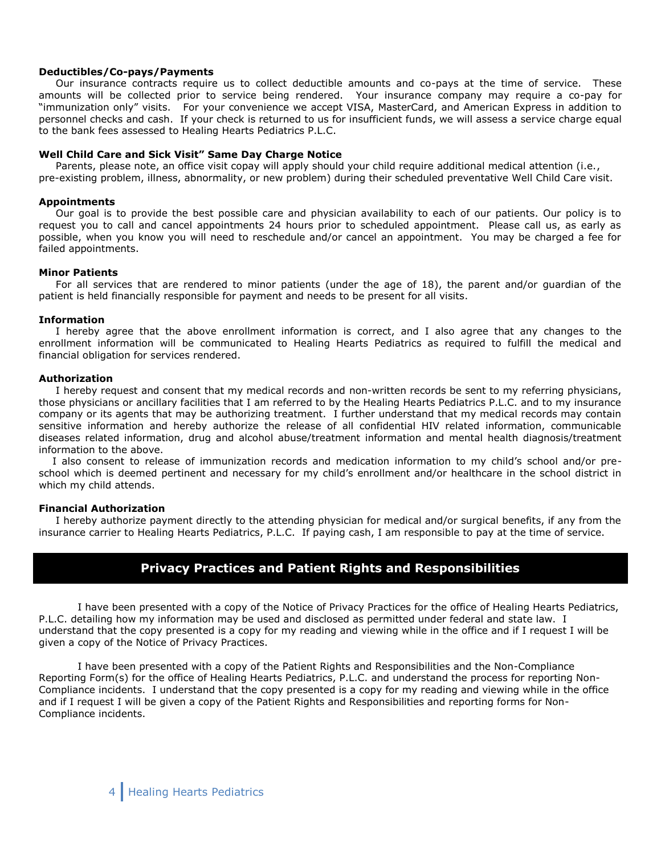## **Deductibles/Co-pays/Payments**

 Our insurance contracts require us to collect deductible amounts and co-pays at the time of service. These amounts will be collected prior to service being rendered. Your insurance company may require a co-pay for "immunization only" visits. For your convenience we accept VISA, MasterCard, and American Express in addition to personnel checks and cash. If your check is returned to us for insufficient funds, we will assess a service charge equal to the bank fees assessed to Healing Hearts Pediatrics P.L.C.

## **Well Child Care and Sick Visit" Same Day Charge Notice**

 Parents, please note, an office visit copay will apply should your child require additional medical attention (i.e., pre-existing problem, illness, abnormality, or new problem) during their scheduled preventative Well Child Care visit.

## **Appointments**

 Our goal is to provide the best possible care and physician availability to each of our patients. Our policy is to request you to call and cancel appointments 24 hours prior to scheduled appointment. Please call us, as early as possible, when you know you will need to reschedule and/or cancel an appointment. You may be charged a fee for failed appointments.

#### **Minor Patients**

 For all services that are rendered to minor patients (under the age of 18), the parent and/or guardian of the patient is held financially responsible for payment and needs to be present for all visits.

#### **Information**

 I hereby agree that the above enrollment information is correct, and I also agree that any changes to the enrollment information will be communicated to Healing Hearts Pediatrics as required to fulfill the medical and financial obligation for services rendered.

#### **Authorization**

 I hereby request and consent that my medical records and non-written records be sent to my referring physicians, those physicians or ancillary facilities that I am referred to by the Healing Hearts Pediatrics P.L.C. and to my insurance company or its agents that may be authorizing treatment. I further understand that my medical records may contain sensitive information and hereby authorize the release of all confidential HIV related information, communicable diseases related information, drug and alcohol abuse/treatment information and mental health diagnosis/treatment information to the above.

 I also consent to release of immunization records and medication information to my child's school and/or preschool which is deemed pertinent and necessary for my child's enrollment and/or healthcare in the school district in which my child attends.

## **Financial Authorization**

 I hereby authorize payment directly to the attending physician for medical and/or surgical benefits, if any from the insurance carrier to Healing Hearts Pediatrics, P.L.C. If paying cash, I am responsible to pay at the time of service.

## **Privacy Practices and Patient Rights and Responsibilities**

I have been presented with a copy of the Notice of Privacy Practices for the office of Healing Hearts Pediatrics, P.L.C. detailing how my information may be used and disclosed as permitted under federal and state law. I understand that the copy presented is a copy for my reading and viewing while in the office and if I request I will be given a copy of the Notice of Privacy Practices.

I have been presented with a copy of the Patient Rights and Responsibilities and the Non-Compliance Reporting Form(s) for the office of Healing Hearts Pediatrics, P.L.C. and understand the process for reporting Non-Compliance incidents. I understand that the copy presented is a copy for my reading and viewing while in the office and if I request I will be given a copy of the Patient Rights and Responsibilities and reporting forms for Non-Compliance incidents.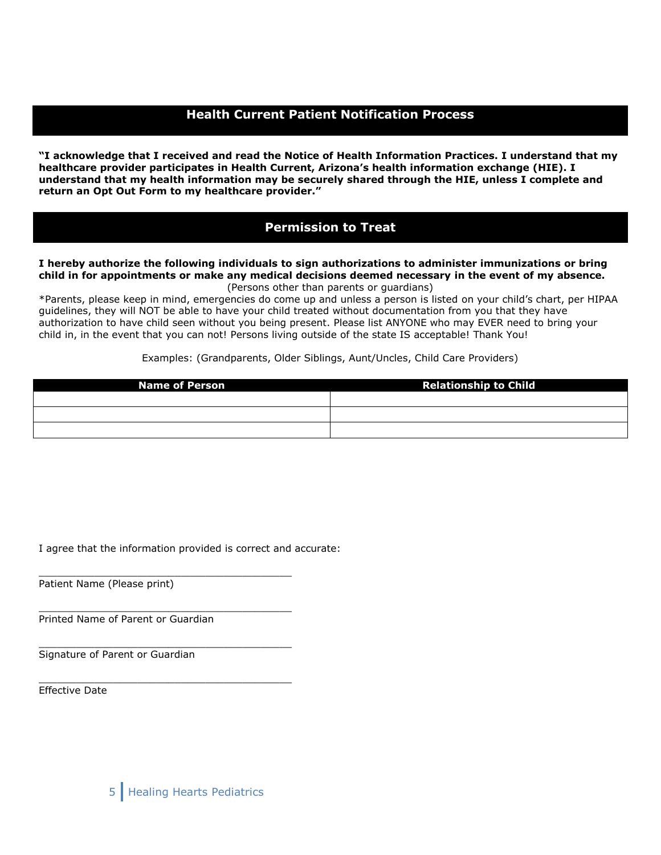# **Health Current Patient Notification Process**

**"I acknowledge that I received and read the Notice of Health Information Practices. I understand that my healthcare provider participates in Health Current, Arizona's health information exchange (HIE). I understand that my health information may be securely shared through the HIE, unless I complete and return an Opt Out Form to my healthcare provider."** 

## **Permission to Treat**

## **I hereby authorize the following individuals to sign authorizations to administer immunizations or bring child in for appointments or make any medical decisions deemed necessary in the event of my absence.** (Persons other than parents or guardians)

\*Parents, please keep in mind, emergencies do come up and unless a person is listed on your child's chart, per HIPAA guidelines, they will NOT be able to have your child treated without documentation from you that they have authorization to have child seen without you being present. Please list ANYONE who may EVER need to bring your child in, in the event that you can not! Persons living outside of the state IS acceptable! Thank You!

Examples: (Grandparents, Older Siblings, Aunt/Uncles, Child Care Providers)

| <b>Name of Person</b> | <b>Relationship to Child</b> |  |  |
|-----------------------|------------------------------|--|--|
|                       |                              |  |  |
|                       |                              |  |  |
|                       |                              |  |  |

I agree that the information provided is correct and accurate:

\_\_\_\_\_\_\_\_\_\_\_\_\_\_\_\_\_\_\_\_\_\_\_\_\_\_\_\_\_\_\_\_\_\_\_\_\_\_\_\_\_

\_\_\_\_\_\_\_\_\_\_\_\_\_\_\_\_\_\_\_\_\_\_\_\_\_\_\_\_\_\_\_\_\_\_\_\_\_\_\_\_\_

\_\_\_\_\_\_\_\_\_\_\_\_\_\_\_\_\_\_\_\_\_\_\_\_\_\_\_\_\_\_\_\_\_\_\_\_\_\_\_\_\_

\_\_\_\_\_\_\_\_\_\_\_\_\_\_\_\_\_\_\_\_\_\_\_\_\_\_\_\_\_\_\_\_\_\_\_\_\_\_\_\_\_

Patient Name (Please print)

Printed Name of Parent or Guardian

Signature of Parent or Guardian

Effective Date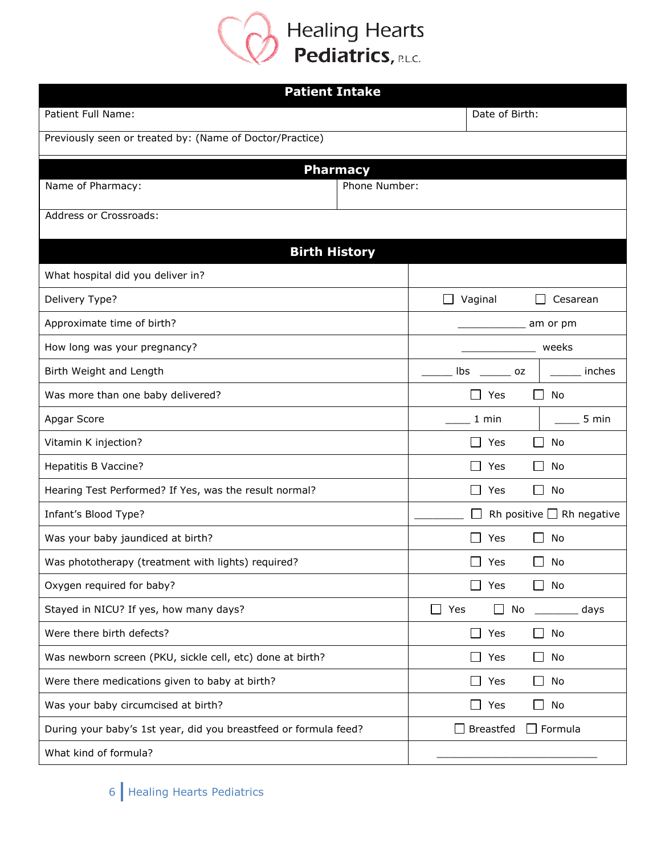

| <b>Patient Intake</b>                                            |                 |                                                    |                                |  |  |
|------------------------------------------------------------------|-----------------|----------------------------------------------------|--------------------------------|--|--|
| Patient Full Name:                                               |                 | Date of Birth:                                     |                                |  |  |
| Previously seen or treated by: (Name of Doctor/Practice)         |                 |                                                    |                                |  |  |
|                                                                  | <b>Pharmacy</b> |                                                    |                                |  |  |
| Name of Pharmacy:                                                | Phone Number:   |                                                    |                                |  |  |
| Address or Crossroads:                                           |                 |                                                    |                                |  |  |
|                                                                  |                 |                                                    |                                |  |  |
| <b>Birth History</b>                                             |                 |                                                    |                                |  |  |
| What hospital did you deliver in?                                |                 |                                                    |                                |  |  |
| Delivery Type?                                                   |                 | Vaginal                                            | Cesarean                       |  |  |
| Approximate time of birth?                                       |                 |                                                    | am or pm                       |  |  |
| How long was your pregnancy?                                     |                 |                                                    | weeks                          |  |  |
| Birth Weight and Length                                          |                 | lbs<br>oz                                          | inches                         |  |  |
| Was more than one baby delivered?                                |                 | ा<br>Yes                                           | П<br>No                        |  |  |
| Apgar Score                                                      |                 | 1 min                                              | 5 min                          |  |  |
| Vitamin K injection?                                             |                 | Yes                                                | No                             |  |  |
| Hepatitis B Vaccine?                                             |                 | Yes                                                | No                             |  |  |
| Hearing Test Performed? If Yes, was the result normal?           |                 | $\mathbf{I}$<br>Yes                                | No<br>$\Box$                   |  |  |
| Infant's Blood Type?                                             |                 |                                                    | Rh positive $\Box$ Rh negative |  |  |
| Was your baby jaundiced at birth?                                |                 | Yes<br>$\mathbf{I}$                                | No<br>$\Box$                   |  |  |
| Was phototherapy (treatment with lights) required?               |                 | Yes<br>$\blacksquare$                              | $\Box$<br>No                   |  |  |
| Oxygen required for baby?                                        |                 | Yes                                                | No                             |  |  |
| Stayed in NICU? If yes, how many days?                           |                 | Yes<br>$\mathcal{L}_{\mathcal{A}}$<br>No<br>$\Box$ | days                           |  |  |
| Were there birth defects?                                        |                 | $\Box$<br>Yes                                      | $\Box$<br>No                   |  |  |
| Was newborn screen (PKU, sickle cell, etc) done at birth?        |                 | Yes                                                | No<br>ΙI                       |  |  |
| Were there medications given to baby at birth?                   |                 | Yes                                                | No<br>$\mathsf{L}$             |  |  |
| Was your baby circumcised at birth?                              |                 | Yes                                                | No                             |  |  |
| During your baby's 1st year, did you breastfeed or formula feed? |                 | <b>Breastfed</b>                                   | $\Box$ Formula                 |  |  |
| What kind of formula?                                            |                 |                                                    |                                |  |  |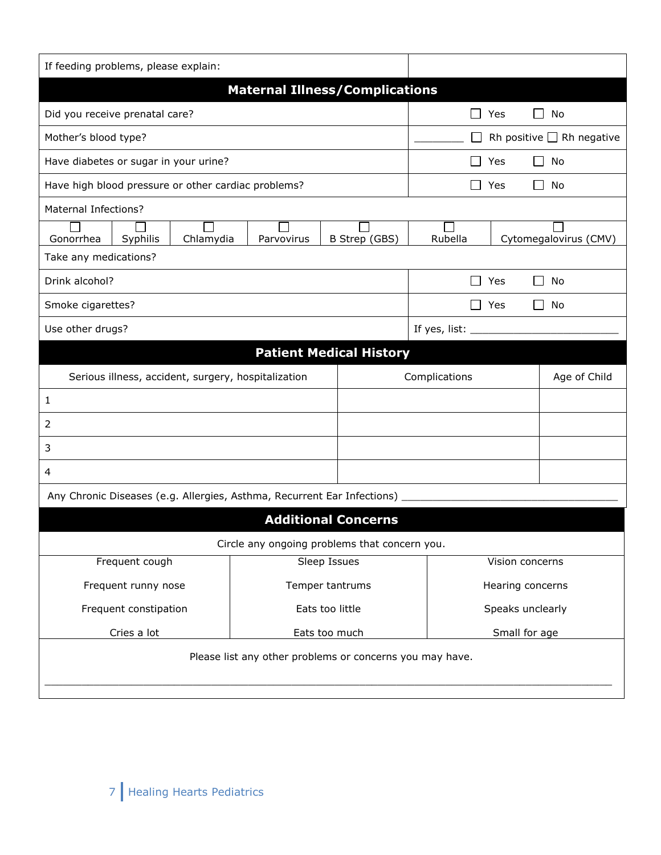| If feeding problems, please explain:                                      |                                                          |               |                                  |                  |                                |  |  |
|---------------------------------------------------------------------------|----------------------------------------------------------|---------------|----------------------------------|------------------|--------------------------------|--|--|
|                                                                           | <b>Maternal Illness/Complications</b>                    |               |                                  |                  |                                |  |  |
| Did you receive prenatal care?                                            |                                                          |               |                                  | Yes              | No<br>ΙI                       |  |  |
| Mother's blood type?                                                      |                                                          |               |                                  |                  | Rh positive $\Box$ Rh negative |  |  |
| Have diabetes or sugar in your urine?                                     |                                                          |               |                                  | Yes              | No<br>$\blacksquare$           |  |  |
| Have high blood pressure or other cardiac problems?                       |                                                          |               |                                  | Yes              | $\perp$<br>No                  |  |  |
| <b>Maternal Infections?</b>                                               |                                                          |               |                                  |                  |                                |  |  |
| Syphilis<br>Chlamydia<br>Gonorrhea                                        | Parvovirus                                               | B Strep (GBS) | Rubella<br>Cytomegalovirus (CMV) |                  |                                |  |  |
| Take any medications?                                                     |                                                          |               |                                  |                  |                                |  |  |
| Drink alcohol?                                                            |                                                          |               |                                  | Yes              | No<br>ΙI                       |  |  |
| Smoke cigarettes?                                                         |                                                          |               |                                  | Yes              | $\mathsf{L}$<br>No             |  |  |
| Use other drugs?                                                          |                                                          |               | If yes, list: ____               |                  |                                |  |  |
| <b>Patient Medical History</b>                                            |                                                          |               |                                  |                  |                                |  |  |
| Serious illness, accident, surgery, hospitalization                       | Complications                                            |               | Age of Child                     |                  |                                |  |  |
| 1                                                                         |                                                          |               |                                  |                  |                                |  |  |
| 2                                                                         |                                                          |               |                                  |                  |                                |  |  |
| 3                                                                         |                                                          |               |                                  |                  |                                |  |  |
| 4                                                                         |                                                          |               |                                  |                  |                                |  |  |
| Any Chronic Diseases (e.g. Allergies, Asthma, Recurrent Ear Infections) _ |                                                          |               |                                  |                  |                                |  |  |
|                                                                           | <b>Additional Concerns</b>                               |               |                                  |                  |                                |  |  |
|                                                                           | Circle any ongoing problems that concern you.            |               |                                  |                  |                                |  |  |
| Frequent cough<br>Sleep Issues                                            |                                                          |               | Vision concerns                  |                  |                                |  |  |
| Frequent runny nose                                                       | Temper tantrums                                          |               | Hearing concerns                 |                  |                                |  |  |
| Frequent constipation                                                     | Eats too little                                          |               |                                  | Speaks unclearly |                                |  |  |
| Cries a lot<br>Eats too much                                              |                                                          |               | Small for age                    |                  |                                |  |  |
|                                                                           | Please list any other problems or concerns you may have. |               |                                  |                  |                                |  |  |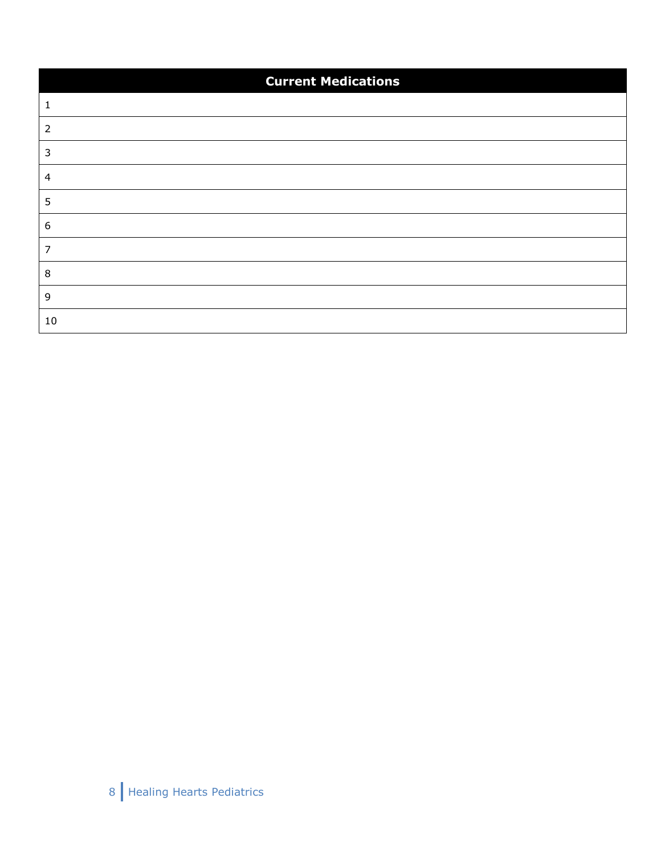| <b>Current Medications</b> |  |  |  |  |
|----------------------------|--|--|--|--|
|                            |  |  |  |  |
|                            |  |  |  |  |
|                            |  |  |  |  |
|                            |  |  |  |  |
|                            |  |  |  |  |
|                            |  |  |  |  |
|                            |  |  |  |  |
|                            |  |  |  |  |
|                            |  |  |  |  |
| $10\,$                     |  |  |  |  |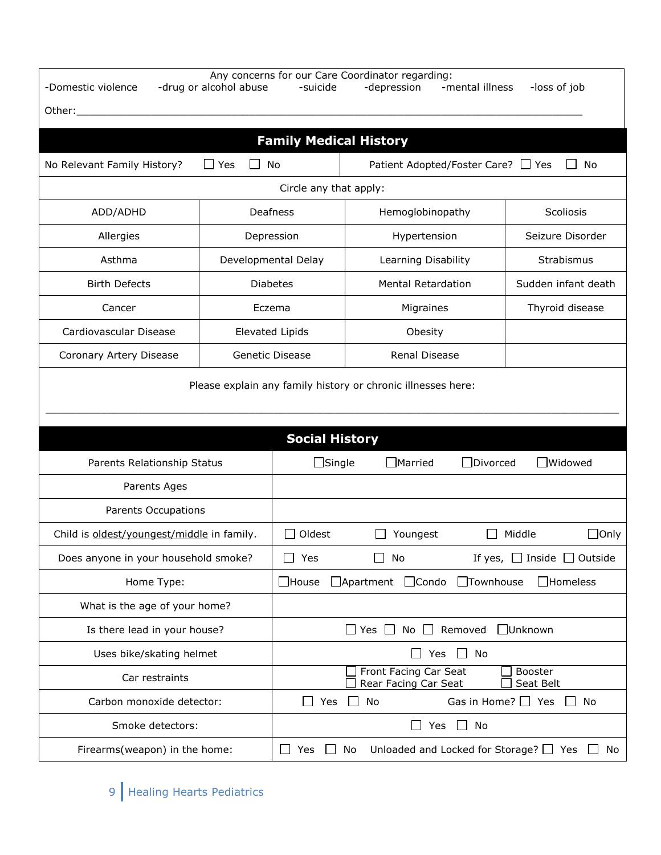| Any concerns for our Care Coordinator regarding:<br>-Domestic violence<br>-mental illness<br>-loss of job<br>-drug or alcohol abuse<br>-suicide<br>-depression |                                                                                         |                                                                              |                                    |                  |                                      |  |  |
|----------------------------------------------------------------------------------------------------------------------------------------------------------------|-----------------------------------------------------------------------------------------|------------------------------------------------------------------------------|------------------------------------|------------------|--------------------------------------|--|--|
| Other:                                                                                                                                                         |                                                                                         |                                                                              |                                    |                  |                                      |  |  |
|                                                                                                                                                                | <b>Family Medical History</b>                                                           |                                                                              |                                    |                  |                                      |  |  |
| No Relevant Family History?                                                                                                                                    | Yes                                                                                     | No                                                                           | Patient Adopted/Foster Care? □ Yes |                  | No                                   |  |  |
| Circle any that apply:                                                                                                                                         |                                                                                         |                                                                              |                                    |                  |                                      |  |  |
| ADD/ADHD                                                                                                                                                       | Deafness                                                                                | Hemoglobinopathy                                                             |                                    | Scoliosis        |                                      |  |  |
| Allergies                                                                                                                                                      |                                                                                         | Depression                                                                   | Hypertension                       |                  | Seizure Disorder                     |  |  |
| Asthma                                                                                                                                                         |                                                                                         | Developmental Delay                                                          | Learning Disability                |                  | Strabismus                           |  |  |
| <b>Birth Defects</b>                                                                                                                                           |                                                                                         | <b>Diabetes</b>                                                              | <b>Mental Retardation</b>          |                  | Sudden infant death                  |  |  |
| Cancer                                                                                                                                                         |                                                                                         | Eczema                                                                       | Migraines                          |                  | Thyroid disease                      |  |  |
| Cardiovascular Disease                                                                                                                                         |                                                                                         | <b>Elevated Lipids</b>                                                       | Obesity                            |                  |                                      |  |  |
| Coronary Artery Disease                                                                                                                                        | Genetic Disease                                                                         |                                                                              | <b>Renal Disease</b>               |                  |                                      |  |  |
| Please explain any family history or chronic illnesses here:                                                                                                   |                                                                                         |                                                                              |                                    |                  |                                      |  |  |
|                                                                                                                                                                |                                                                                         | <b>Social History</b>                                                        |                                    |                  |                                      |  |  |
| Parents Relationship Status                                                                                                                                    |                                                                                         | $\Box$ Single                                                                | $\Box$ Married                     | $\Box$ Divorced  | $\exists$ Widowed                    |  |  |
| Parents Ages                                                                                                                                                   |                                                                                         |                                                                              |                                    |                  |                                      |  |  |
| Parents Occupations                                                                                                                                            |                                                                                         |                                                                              |                                    |                  |                                      |  |  |
| Child is oldest/youngest/middle in family.                                                                                                                     |                                                                                         | Oldest                                                                       | Youngest                           |                  | Middle<br>$\Box$ Only                |  |  |
| Does anyone in your household smoke?                                                                                                                           |                                                                                         | Yes                                                                          | No                                 |                  | If yes, $\Box$ Inside $\Box$ Outside |  |  |
| Home Type:                                                                                                                                                     |                                                                                         | $\Box$ House                                                                 | □ Apartment □ Condo                | $\Box$ Townhouse | $\Box$ Homeless                      |  |  |
| What is the age of your home?                                                                                                                                  |                                                                                         |                                                                              |                                    |                  |                                      |  |  |
| Is there lead in your house?                                                                                                                                   | No $\Box$ Removed<br>$\Box$ Unknown<br>$\Box$ Yes $\Box$                                |                                                                              |                                    |                  |                                      |  |  |
| Uses bike/skating helmet                                                                                                                                       | Yes<br>No<br>$\mathbf{1}$<br>$\blacksquare$                                             |                                                                              |                                    |                  |                                      |  |  |
| Car restraints                                                                                                                                                 |                                                                                         | Front Facing Car Seat<br><b>Booster</b><br>Rear Facing Car Seat<br>Seat Belt |                                    |                  |                                      |  |  |
| Carbon monoxide detector:                                                                                                                                      |                                                                                         | Gas in Home? $\Box$ Yes<br>No<br>$\mathcal{L}$<br>Yes<br>No                  |                                    |                  |                                      |  |  |
| Smoke detectors:                                                                                                                                               | No<br>Yes<br>$\perp$<br>$\blacksquare$                                                  |                                                                              |                                    |                  |                                      |  |  |
| Firearms(weapon) in the home:                                                                                                                                  | Unloaded and Locked for Storage? $\Box$ Yes $\Box$ No<br>$\Box$<br>No<br>Yes<br>$\perp$ |                                                                              |                                    |                  |                                      |  |  |